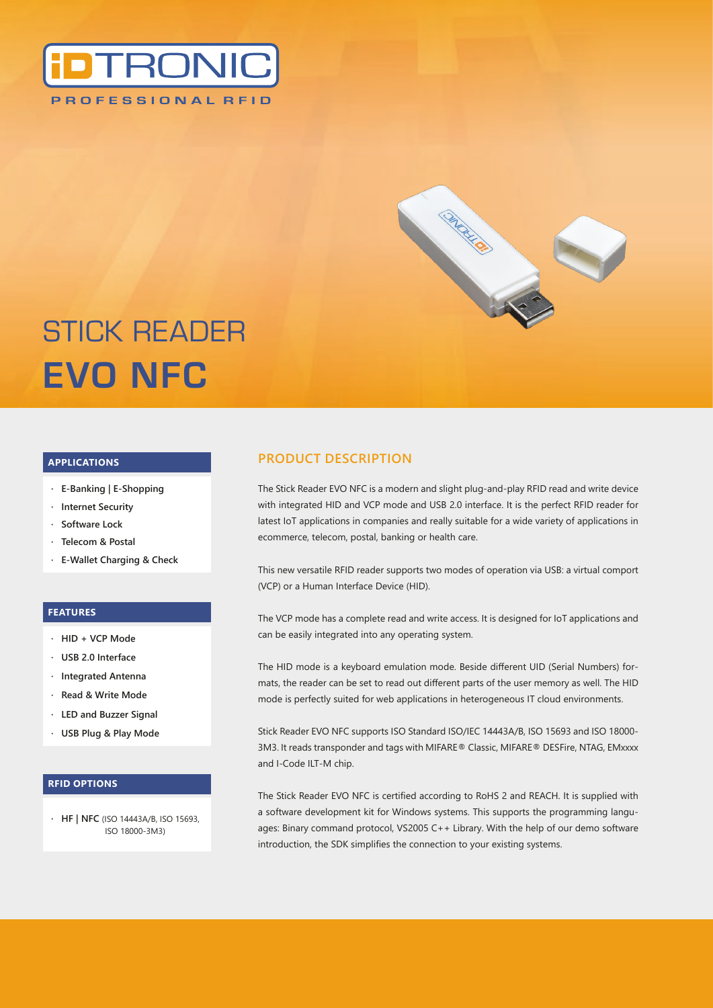



# STICK READER **EVO NFC**

#### **APPLICATIONS**

- **· E-Banking | E-Shopping**
- **· Internet Security**
- **· Software Lock**
- **· Telecom & Postal**
- **· E-Wallet Charging & Check**

#### **FEATURES**

- **· HID + VCP Mode**
- **· USB 2.0 Interface**
- **· Integrated Antenna**
- **· Read & Write Mode**
- **· LED and Buzzer Signal**
- **· USB Plug & Play Mode**

#### **RFID OPTIONS**

**· HF | NFC** (ISO 14443A/B, ISO 15693, ISO 18000-3M3)

## **PRODUCT DESCRIPTION**

The Stick Reader EVO NFC is a modern and slight plug-and-play RFID read and write device with integrated HID and VCP mode and USB 2.0 interface. It is the perfect RFID reader for latest IoT applications in companies and really suitable for a wide variety of applications in ecommerce, telecom, postal, banking or health care.

This new versatile RFID reader supports two modes of operation via USB: a virtual comport (VCP) or a Human Interface Device (HID).

The VCP mode has a complete read and write access. It is designed for IoT applications and can be easily integrated into any operating system.

The HID mode is a keyboard emulation mode. Beside different UID (Serial Numbers) formats, the reader can be set to read out different parts of the user memory as well. The HID mode is perfectly suited for web applications in heterogeneous IT cloud environments.

Stick Reader EVO NFC supports ISO Standard ISO/IEC 14443A/B, ISO 15693 and ISO 18000- 3M3. It reads transponder and tags with MIFARE® Classic, MIFARE® DESFire, NTAG, EMxxxx and I-Code ILT-M chip.

The Stick Reader EVO NFC is certified according to RoHS 2 and REACH. It is supplied with a software development kit for Windows systems. This supports the programming languages: Binary command protocol, VS2005 C++ Library. With the help of our demo software introduction, the SDK simplifies the connection to your existing systems.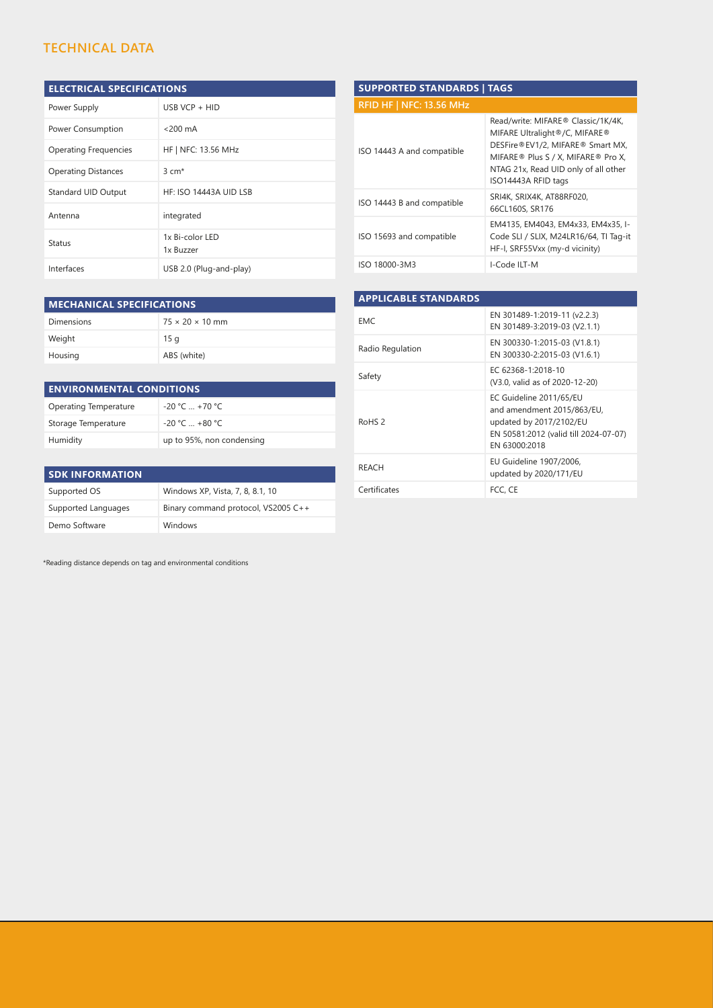## **TECHNICAL DATA**

## **ELECTRICAL SPECIFICATIONS**

| Power Supply                 | USB VCP $+$ HID              |
|------------------------------|------------------------------|
| Power Consumption            | $<$ 200 mA                   |
| <b>Operating Frequencies</b> | HF   NFC: 13.56 MHz          |
| <b>Operating Distances</b>   | $3 \text{ cm}^*$             |
| <b>Standard UID Output</b>   | HF: ISO 14443A UID LSB       |
| Antenna                      | integrated                   |
| Status                       | 1x Bi-color LED<br>1x Buzzer |
| Interfaces                   | USB 2.0 (Plug-and-play)      |

| <b>SUPPORTED STANDARDS   TAGS</b> |                                                                                                                                                                                                              |  |  |  |
|-----------------------------------|--------------------------------------------------------------------------------------------------------------------------------------------------------------------------------------------------------------|--|--|--|
| <b>RFID HF   NFC: 13.56 MHz</b>   |                                                                                                                                                                                                              |  |  |  |
| ISO 14443 A and compatible        | Read/write: MIFARE® Classic/1K/4K,<br>MIFARE Ultralight®/C, MIFARE®<br>DESFire®EV1/2, MIFARE® Smart MX,<br>MIFARE® Plus S / X, MIFARE® Pro X,<br>NTAG 21x, Read UID only of all other<br>ISO14443A RFID tags |  |  |  |
| ISO 14443 B and compatible        | SRI4K, SRIX4K, AT88RF020,<br>66CL160S, SR176                                                                                                                                                                 |  |  |  |
| ISO 15693 and compatible          | EM4135, EM4043, EM4x33, EM4x35, I-<br>Code SLI / SLIX, M24LR16/64, TI Tag-it<br>HF-I, SRF55Vxx (my-d vicinity)                                                                                               |  |  |  |
| ISO 18000-3M3                     | I-Code ILT-M                                                                                                                                                                                                 |  |  |  |

| <b>MECHANICAL SPECIFICATIONS</b> |  |  |  |
|----------------------------------|--|--|--|
| $75 \times 20 \times 10$ mm      |  |  |  |
| 15q                              |  |  |  |
| ABS (white)                      |  |  |  |
|                                  |  |  |  |

| <b>ENVIRONMENTAL CONDITIONS</b> |                           |  |  |
|---------------------------------|---------------------------|--|--|
| Operating Temperature           | $-20 °C = +70 °C$         |  |  |
| Storage Temperature             | $-20 °C = +80 °C$         |  |  |
| Humidity                        | up to 95%, non condensing |  |  |

| <b>SDK INFORMATION</b> |                                     |  |  |  |  |
|------------------------|-------------------------------------|--|--|--|--|
| Supported OS           | Windows XP, Vista, 7, 8, 8.1, 10    |  |  |  |  |
| Supported Languages    | Binary command protocol, VS2005 C++ |  |  |  |  |
| Demo Software          | Windows                             |  |  |  |  |

| <b>APPLICABLE STANDARDS</b> |                                                                                                                                            |
|-----------------------------|--------------------------------------------------------------------------------------------------------------------------------------------|
| EMC.                        | EN 301489-1:2019-11 (v2.2.3)<br>EN 301489-3:2019-03 (V2.1.1)                                                                               |
| Radio Regulation            | EN 300330-1:2015-03 (V1.8.1)<br>EN 300330-2:2015-03 (V1.6.1)                                                                               |
| Safety                      | EC 62368-1:2018-10<br>(V3.0, valid as of 2020-12-20)                                                                                       |
| RoHS <sub>2</sub>           | EC Guideline 2011/65/EU<br>and amendment 2015/863/EU,<br>updated by 2017/2102/EU<br>EN 50581:2012 (valid till 2024-07-07)<br>EN 63000:2018 |
| <b>REACH</b>                | EU Guideline 1907/2006,<br>updated by 2020/171/EU                                                                                          |
| Certificates                | FCC. CE                                                                                                                                    |

\*Reading distance depends on tag and environmental conditions